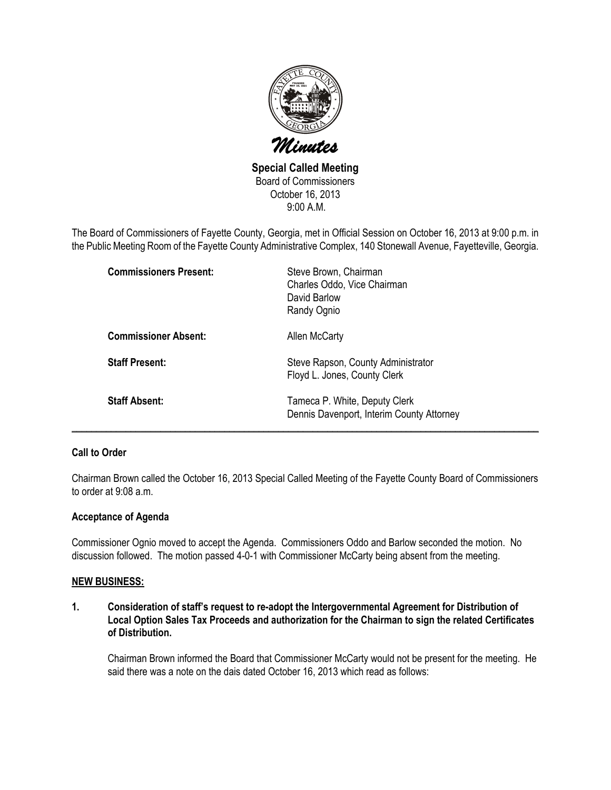

Special Called Meeting Board of Commissioners October 16, 2013 9:00 A.M.

The Board of Commissioners of Fayette County, Georgia, met in Official Session on October 16, 2013 at 9:00 p.m. in the Public Meeting Room of the Fayette County Administrative Complex, 140 Stonewall Avenue, Fayetteville, Georgia.

| <b>Commissioners Present:</b> | Steve Brown, Chairman<br>Charles Oddo, Vice Chairman<br>David Barlow<br>Randy Ognio |
|-------------------------------|-------------------------------------------------------------------------------------|
| <b>Commissioner Absent:</b>   | Allen McCarty                                                                       |
| <b>Staff Present:</b>         | Steve Rapson, County Administrator<br>Floyd L. Jones, County Clerk                  |
| <b>Staff Absent:</b>          | Tameca P. White, Deputy Clerk<br>Dennis Davenport, Interim County Attorney          |

## Call to Order

Chairman Brown called the October 16, 2013 Special Called Meeting of the Fayette County Board of Commissioners to order at 9:08 a.m.

### Acceptance of Agenda

Commissioner Ognio moved to accept the Agenda. Commissioners Oddo and Barlow seconded the motion. No discussion followed. The motion passed 4-0-1 with Commissioner McCarty being absent from the meeting.

### NEW BUSINESS:

1. Consideration of staff's request to re-adopt the Intergovernmental Agreement for Distribution of Local Option Sales Tax Proceeds and authorization for the Chairman to sign the related Certificates of Distribution.

Chairman Brown informed the Board that Commissioner McCarty would not be present for the meeting. He said there was a note on the dais dated October 16, 2013 which read as follows: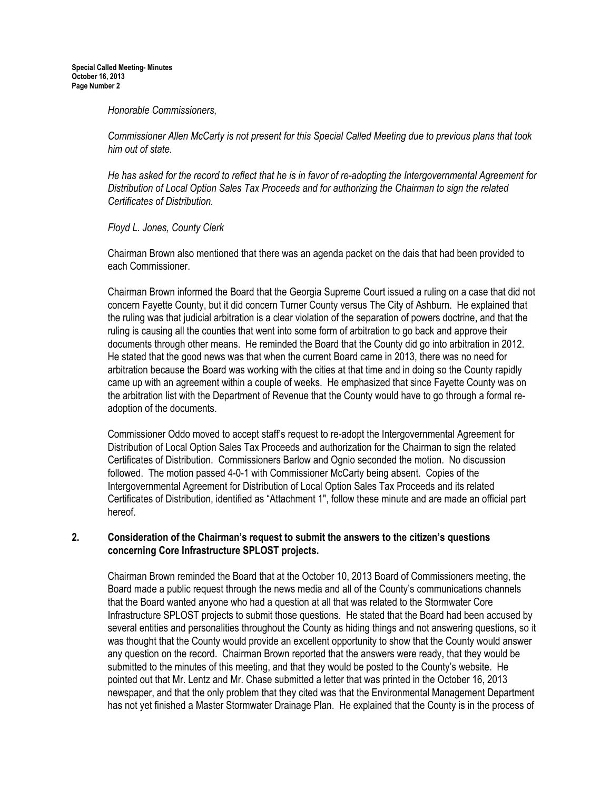#### Honorable Commissioners,

Commissioner Allen McCarty is not present for this Special Called Meeting due to previous plans that took him out of state.

He has asked for the record to reflect that he is in favor of re-adopting the Intergovernmental Agreement for Distribution of Local Option Sales Tax Proceeds and for authorizing the Chairman to sign the related Certificates of Distribution.

Floyd L. Jones, County Clerk

Chairman Brown also mentioned that there was an agenda packet on the dais that had been provided to each Commissioner.

Chairman Brown informed the Board that the Georgia Supreme Court issued a ruling on a case that did not concern Fayette County, but it did concern Turner County versus The City of Ashburn. He explained that the ruling was that judicial arbitration is a clear violation of the separation of powers doctrine, and that the ruling is causing all the counties that went into some form of arbitration to go back and approve their documents through other means. He reminded the Board that the County did go into arbitration in 2012. He stated that the good news was that when the current Board came in 2013, there was no need for arbitration because the Board was working with the cities at that time and in doing so the County rapidly came up with an agreement within a couple of weeks. He emphasized that since Fayette County was on the arbitration list with the Department of Revenue that the County would have to go through a formal readoption of the documents.

Commissioner Oddo moved to accept staff's request to re-adopt the Intergovernmental Agreement for Distribution of Local Option Sales Tax Proceeds and authorization for the Chairman to sign the related Certificates of Distribution. Commissioners Barlow and Ognio seconded the motion. No discussion followed. The motion passed 4-0-1 with Commissioner McCarty being absent. Copies of the Intergovernmental Agreement for Distribution of Local Option Sales Tax Proceeds and its related Certificates of Distribution, identified as "Attachment 1", follow these minute and are made an official part hereof.

## 2. Consideration of the Chairman's request to submit the answers to the citizen's questions concerning Core Infrastructure SPLOST projects.

Chairman Brown reminded the Board that at the October 10, 2013 Board of Commissioners meeting, the Board made a public request through the news media and all of the County's communications channels that the Board wanted anyone who had a question at all that was related to the Stormwater Core Infrastructure SPLOST projects to submit those questions. He stated that the Board had been accused by several entities and personalities throughout the County as hiding things and not answering questions, so it was thought that the County would provide an excellent opportunity to show that the County would answer any question on the record. Chairman Brown reported that the answers were ready, that they would be submitted to the minutes of this meeting, and that they would be posted to the County's website. He pointed out that Mr. Lentz and Mr. Chase submitted a letter that was printed in the October 16, 2013 newspaper, and that the only problem that they cited was that the Environmental Management Department has not yet finished a Master Stormwater Drainage Plan. He explained that the County is in the process of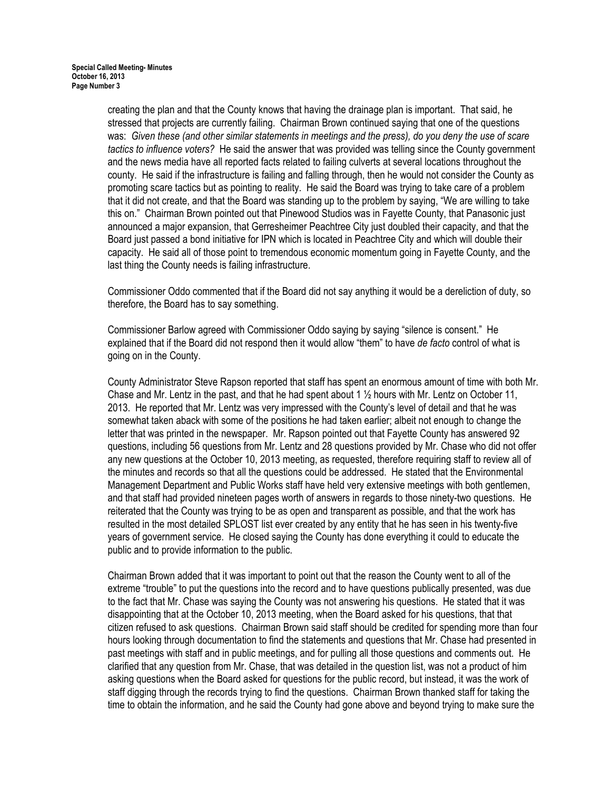creating the plan and that the County knows that having the drainage plan is important. That said, he stressed that projects are currently failing. Chairman Brown continued saying that one of the questions was: Given these (and other similar statements in meetings and the press), do you deny the use of scare tactics to influence voters? He said the answer that was provided was telling since the County government and the news media have all reported facts related to failing culverts at several locations throughout the county. He said if the infrastructure is failing and falling through, then he would not consider the County as promoting scare tactics but as pointing to reality. He said the Board was trying to take care of a problem that it did not create, and that the Board was standing up to the problem by saying, "We are willing to take this on." Chairman Brown pointed out that Pinewood Studios was in Fayette County, that Panasonic just announced a major expansion, that Gerresheimer Peachtree City just doubled their capacity, and that the Board just passed a bond initiative for IPN which is located in Peachtree City and which will double their capacity. He said all of those point to tremendous economic momentum going in Fayette County, and the last thing the County needs is failing infrastructure.

Commissioner Oddo commented that if the Board did not say anything it would be a dereliction of duty, so therefore, the Board has to say something.

Commissioner Barlow agreed with Commissioner Oddo saying by saying "silence is consent." He explained that if the Board did not respond then it would allow "them" to have de facto control of what is going on in the County.

County Administrator Steve Rapson reported that staff has spent an enormous amount of time with both Mr. Chase and Mr. Lentz in the past, and that he had spent about 1 ½ hours with Mr. Lentz on October 11, 2013. He reported that Mr. Lentz was very impressed with the County's level of detail and that he was somewhat taken aback with some of the positions he had taken earlier; albeit not enough to change the letter that was printed in the newspaper. Mr. Rapson pointed out that Fayette County has answered 92 questions, including 56 questions from Mr. Lentz and 28 questions provided by Mr. Chase who did not offer any new questions at the October 10, 2013 meeting, as requested, therefore requiring staff to review all of the minutes and records so that all the questions could be addressed. He stated that the Environmental Management Department and Public Works staff have held very extensive meetings with both gentlemen, and that staff had provided nineteen pages worth of answers in regards to those ninety-two questions. He reiterated that the County was trying to be as open and transparent as possible, and that the work has resulted in the most detailed SPLOST list ever created by any entity that he has seen in his twenty-five years of government service. He closed saying the County has done everything it could to educate the public and to provide information to the public.

Chairman Brown added that it was important to point out that the reason the County went to all of the extreme "trouble" to put the questions into the record and to have questions publically presented, was due to the fact that Mr. Chase was saying the County was not answering his questions. He stated that it was disappointing that at the October 10, 2013 meeting, when the Board asked for his questions, that that citizen refused to ask questions. Chairman Brown said staff should be credited for spending more than four hours looking through documentation to find the statements and questions that Mr. Chase had presented in past meetings with staff and in public meetings, and for pulling all those questions and comments out. He clarified that any question from Mr. Chase, that was detailed in the question list, was not a product of him asking questions when the Board asked for questions for the public record, but instead, it was the work of staff digging through the records trying to find the questions. Chairman Brown thanked staff for taking the time to obtain the information, and he said the County had gone above and beyond trying to make sure the